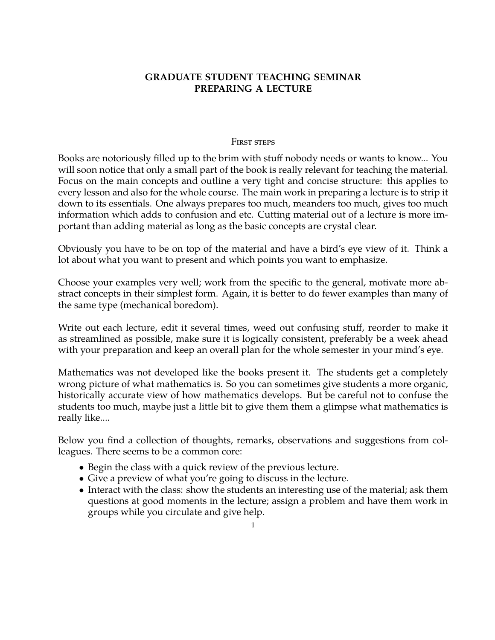# **GRADUATE STUDENT TEACHING SEMINAR PREPARING A LECTURE**

#### FIRST STEPS

Books are notoriously filled up to the brim with stuff nobody needs or wants to know... You will soon notice that only a small part of the book is really relevant for teaching the material. Focus on the main concepts and outline a very tight and concise structure: this applies to every lesson and also for the whole course. The main work in preparing a lecture is to strip it down to its essentials. One always prepares too much, meanders too much, gives too much information which adds to confusion and etc. Cutting material out of a lecture is more important than adding material as long as the basic concepts are crystal clear.

Obviously you have to be on top of the material and have a bird's eye view of it. Think a lot about what you want to present and which points you want to emphasize.

Choose your examples very well; work from the specific to the general, motivate more abstract concepts in their simplest form. Again, it is better to do fewer examples than many of the same type (mechanical boredom).

Write out each lecture, edit it several times, weed out confusing stuff, reorder to make it as streamlined as possible, make sure it is logically consistent, preferably be a week ahead with your preparation and keep an overall plan for the whole semester in your mind's eye.

Mathematics was not developed like the books present it. The students get a completely wrong picture of what mathematics is. So you can sometimes give students a more organic, historically accurate view of how mathematics develops. But be careful not to confuse the students too much, maybe just a little bit to give them them a glimpse what mathematics is really like....

Below you find a collection of thoughts, remarks, observations and suggestions from colleagues. There seems to be a common core:

- Begin the class with a quick review of the previous lecture.
- Give a preview of what you're going to discuss in the lecture.
- Interact with the class: show the students an interesting use of the material; ask them questions at good moments in the lecture; assign a problem and have them work in groups while you circulate and give help.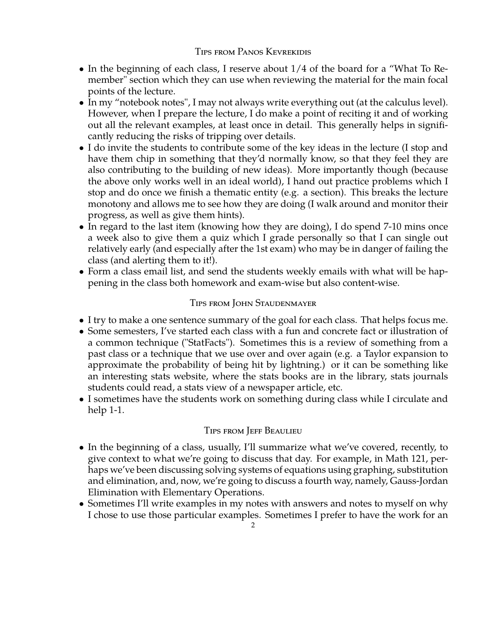## Tips from Panos Kevrekidis

- In the beginning of each class, I reserve about 1/4 of the board for a "What To Remember" section which they can use when reviewing the material for the main focal points of the lecture.
- In my "notebook notes", I may not always write everything out (at the calculus level). However, when I prepare the lecture, I do make a point of reciting it and of working out all the relevant examples, at least once in detail. This generally helps in significantly reducing the risks of tripping over details.
- I do invite the students to contribute some of the key ideas in the lecture (I stop and have them chip in something that they'd normally know, so that they feel they are also contributing to the building of new ideas). More importantly though (because the above only works well in an ideal world), I hand out practice problems which I stop and do once we finish a thematic entity (e.g. a section). This breaks the lecture monotony and allows me to see how they are doing (I walk around and monitor their progress, as well as give them hints).
- In regard to the last item (knowing how they are doing), I do spend 7-10 mins once a week also to give them a quiz which I grade personally so that I can single out relatively early (and especially after the 1st exam) who may be in danger of failing the class (and alerting them to it!).
- Form a class email list, and send the students weekly emails with what will be happening in the class both homework and exam-wise but also content-wise.

# Tips from John Staudenmayer

- I try to make a one sentence summary of the goal for each class. That helps focus me.
- Some semesters, I've started each class with a fun and concrete fact or illustration of a common technique ("StatFacts"). Sometimes this is a review of something from a past class or a technique that we use over and over again (e.g. a Taylor expansion to approximate the probability of being hit by lightning.) or it can be something like an interesting stats website, where the stats books are in the library, stats journals students could read, a stats view of a newspaper article, etc.
- I sometimes have the students work on something during class while I circulate and help 1-1.

# Tips from Jeff Beaulieu

- In the beginning of a class, usually, I'll summarize what we've covered, recently, to give context to what we're going to discuss that day. For example, in Math 121, perhaps we've been discussing solving systems of equations using graphing, substitution and elimination, and, now, we're going to discuss a fourth way, namely, Gauss-Jordan Elimination with Elementary Operations.
- Sometimes I'll write examples in my notes with answers and notes to myself on why I chose to use those particular examples. Sometimes I prefer to have the work for an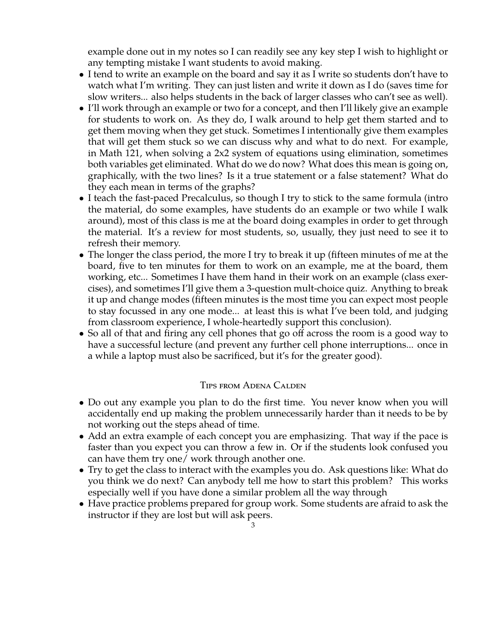example done out in my notes so I can readily see any key step I wish to highlight or any tempting mistake I want students to avoid making.

- I tend to write an example on the board and say it as I write so students don't have to watch what I'm writing. They can just listen and write it down as I do (saves time for slow writers... also helps students in the back of larger classes who can't see as well).
- I'll work through an example or two for a concept, and then I'll likely give an example for students to work on. As they do, I walk around to help get them started and to get them moving when they get stuck. Sometimes I intentionally give them examples that will get them stuck so we can discuss why and what to do next. For example, in Math 121, when solving a 2x2 system of equations using elimination, sometimes both variables get eliminated. What do we do now? What does this mean is going on, graphically, with the two lines? Is it a true statement or a false statement? What do they each mean in terms of the graphs?
- I teach the fast-paced Precalculus, so though I try to stick to the same formula (intro the material, do some examples, have students do an example or two while I walk around), most of this class is me at the board doing examples in order to get through the material. It's a review for most students, so, usually, they just need to see it to refresh their memory.
- The longer the class period, the more I try to break it up (fifteen minutes of me at the board, five to ten minutes for them to work on an example, me at the board, them working, etc... Sometimes I have them hand in their work on an example (class exercises), and sometimes I'll give them a 3-question mult-choice quiz. Anything to break it up and change modes (fifteen minutes is the most time you can expect most people to stay focussed in any one mode... at least this is what I've been told, and judging from classroom experience, I whole-heartedly support this conclusion).
- So all of that and firing any cell phones that go off across the room is a good way to have a successful lecture (and prevent any further cell phone interruptions... once in a while a laptop must also be sacrificed, but it's for the greater good).

### Tips from Adena Calden

- Do out any example you plan to do the first time. You never know when you will accidentally end up making the problem unnecessarily harder than it needs to be by not working out the steps ahead of time.
- Add an extra example of each concept you are emphasizing. That way if the pace is faster than you expect you can throw a few in. Or if the students look confused you can have them try one/ work through another one.
- Try to get the class to interact with the examples you do. Ask questions like: What do you think we do next? Can anybody tell me how to start this problem? This works especially well if you have done a similar problem all the way through
- Have practice problems prepared for group work. Some students are afraid to ask the instructor if they are lost but will ask peers.